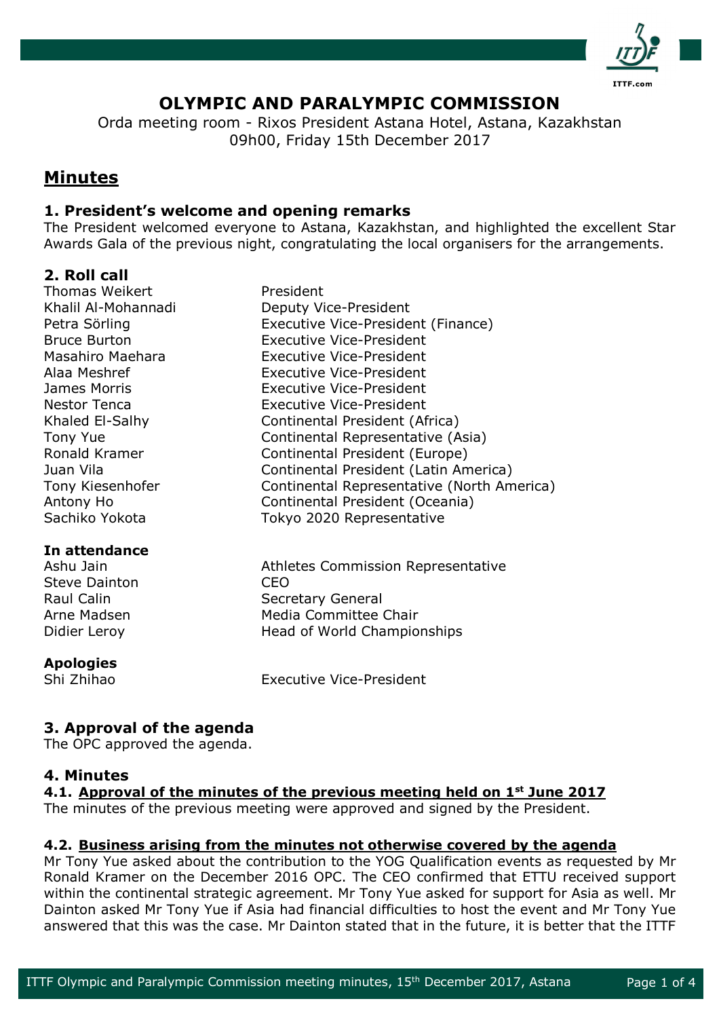

# **OLYMPIC AND PARALYMPIC COMMISSION**

Orda meeting room - Rixos President Astana Hotel, Astana, Kazakhstan 09h00, Friday 15th December 2017

# **Minutes**

## **1. President's welcome and opening remarks**

The President welcomed everyone to Astana, Kazakhstan, and highlighted the excellent Star Awards Gala of the previous night, congratulating the local organisers for the arrangements.

## **2. Roll call**

Thomas Weikert **President** 

## **In attendance**

Steve Dainton CEO

#### **Apologies**

Khalil Al-Mohannadi Deputy Vice-President Petra Sörling **Executive Vice-President (Finance)** Bruce Burton Executive Vice-President Masahiro Maehara Executive Vice-President Alaa Meshref Executive Vice-President James Morris Executive Vice-President Nestor Tenca **Executive Vice-President** Khaled El-Salhy Continental President (Africa) Tony Yue **Continental Representative (Asia)** Ronald Kramer Continental President (Europe) Juan Vila Continental President (Latin America) Tony Kiesenhofer Continental Representative (North America) Antony Ho Continental President (Oceania) Sachiko Yokota Tokyo 2020 Representative

Ashu Jain Athletes Commission Representative Raul Calin Secretary General Arne Madsen Media Committee Chair Didier Leroy **Head of World Championships** 

Shi Zhihao Executive Vice-President

# **3. Approval of the agenda**

The OPC approved the agenda.

## **4. Minutes**

**4.1. Approval of the minutes of the previous meeting held on 1st June 2017**

The minutes of the previous meeting were approved and signed by the President.

## **4.2. Business arising from the minutes not otherwise covered by the agenda**

Mr Tony Yue asked about the contribution to the YOG Qualification events as requested by Mr Ronald Kramer on the December 2016 OPC. The CEO confirmed that ETTU received support within the continental strategic agreement. Mr Tony Yue asked for support for Asia as well. Mr Dainton asked Mr Tony Yue if Asia had financial difficulties to host the event and Mr Tony Yue answered that this was the case. Mr Dainton stated that in the future, it is better that the ITTF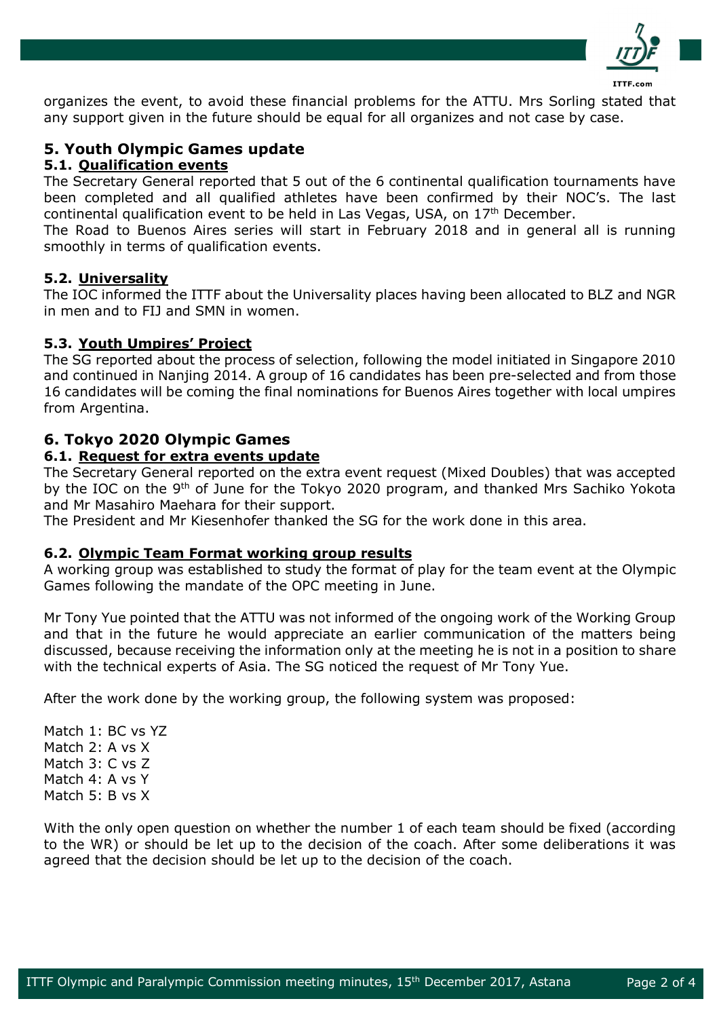

organizes the event, to avoid these financial problems for the ATTU. Mrs Sorling stated that any support given in the future should be equal for all organizes and not case by case.

## **5. Youth Olympic Games update**

#### **5.1. Qualification events**

The Secretary General reported that 5 out of the 6 continental qualification tournaments have been completed and all qualified athletes have been confirmed by their NOC's. The last continental qualification event to be held in Las Vegas, USA, on 17th December.

The Road to Buenos Aires series will start in February 2018 and in general all is running smoothly in terms of qualification events.

#### **5.2. Universality**

The IOC informed the ITTF about the Universality places having been allocated to BLZ and NGR in men and to FIJ and SMN in women.

#### **5.3. Youth Umpires' Project**

The SG reported about the process of selection, following the model initiated in Singapore 2010 and continued in Nanjing 2014. A group of 16 candidates has been pre-selected and from those 16 candidates will be coming the final nominations for Buenos Aires together with local umpires from Argentina.

## **6. Tokyo 2020 Olympic Games**

#### **6.1. Request for extra events update**

The Secretary General reported on the extra event request (Mixed Doubles) that was accepted by the IOC on the 9<sup>th</sup> of June for the Tokyo 2020 program, and thanked Mrs Sachiko Yokota and Mr Masahiro Maehara for their support.

The President and Mr Kiesenhofer thanked the SG for the work done in this area.

#### **6.2. Olympic Team Format working group results**

A working group was established to study the format of play for the team event at the Olympic Games following the mandate of the OPC meeting in June.

Mr Tony Yue pointed that the ATTU was not informed of the ongoing work of the Working Group and that in the future he would appreciate an earlier communication of the matters being discussed, because receiving the information only at the meeting he is not in a position to share with the technical experts of Asia. The SG noticed the request of Mr Tony Yue.

After the work done by the working group, the following system was proposed:

Match 1: BC vs YZ Match 2: A vs X Match 3: C vs Z Match 4: A vs Y Match 5: B vs X

With the only open question on whether the number 1 of each team should be fixed (according to the WR) or should be let up to the decision of the coach. After some deliberations it was agreed that the decision should be let up to the decision of the coach.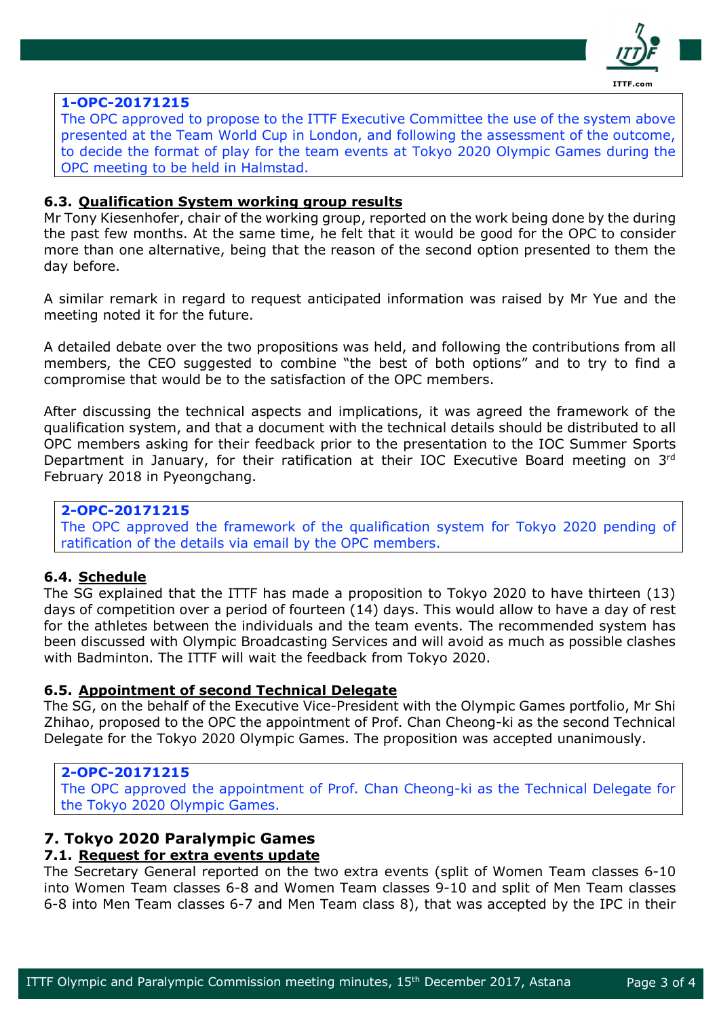

#### **1-OPC-20171215**

The OPC approved to propose to the ITTF Executive Committee the use of the system above presented at the Team World Cup in London, and following the assessment of the outcome, to decide the format of play for the team events at Tokyo 2020 Olympic Games during the OPC meeting to be held in Halmstad.

#### **6.3. Qualification System working group results**

Mr Tony Kiesenhofer, chair of the working group, reported on the work being done by the during the past few months. At the same time, he felt that it would be good for the OPC to consider more than one alternative, being that the reason of the second option presented to them the day before.

A similar remark in regard to request anticipated information was raised by Mr Yue and the meeting noted it for the future.

A detailed debate over the two propositions was held, and following the contributions from all members, the CEO suggested to combine "the best of both options" and to try to find a compromise that would be to the satisfaction of the OPC members.

After discussing the technical aspects and implications, it was agreed the framework of the qualification system, and that a document with the technical details should be distributed to all OPC members asking for their feedback prior to the presentation to the IOC Summer Sports Department in January, for their ratification at their IOC Executive Board meeting on 3rd February 2018 in Pyeongchang.

#### **2-OPC-20171215**

The OPC approved the framework of the qualification system for Tokyo 2020 pending of ratification of the details via email by the OPC members.

## **6.4. Schedule**

The SG explained that the ITTF has made a proposition to Tokyo 2020 to have thirteen (13) days of competition over a period of fourteen (14) days. This would allow to have a day of rest for the athletes between the individuals and the team events. The recommended system has been discussed with Olympic Broadcasting Services and will avoid as much as possible clashes with Badminton. The ITTF will wait the feedback from Tokyo 2020.

#### **6.5. Appointment of second Technical Delegate**

The SG, on the behalf of the Executive Vice-President with the Olympic Games portfolio, Mr Shi Zhihao, proposed to the OPC the appointment of Prof. Chan Cheong-ki as the second Technical Delegate for the Tokyo 2020 Olympic Games. The proposition was accepted unanimously.

#### **2-OPC-20171215**

The OPC approved the appointment of Prof. Chan Cheong-ki as the Technical Delegate for the Tokyo 2020 Olympic Games.

## **7. Tokyo 2020 Paralympic Games**

## **7.1. Request for extra events update**

The Secretary General reported on the two extra events (split of Women Team classes 6-10 into Women Team classes 6-8 and Women Team classes 9-10 and split of Men Team classes 6-8 into Men Team classes 6-7 and Men Team class 8), that was accepted by the IPC in their